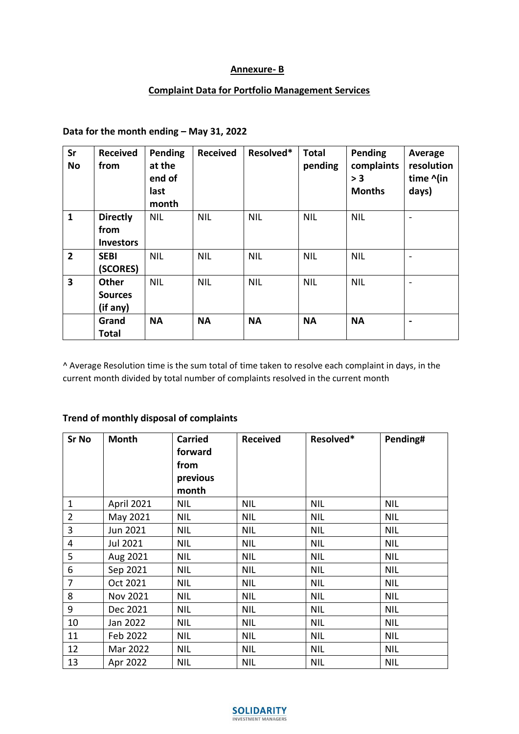#### **Annexure- B**

### **Complaint Data for Portfolio Management Services**

# **Data for the month ending – May 31, 2022**

| Sr<br><b>No</b>         | <b>Received</b><br>from                     | Pending<br>at the<br>end of<br>last<br>month | <b>Received</b> | Resolved*  | <b>Total</b><br>pending | Pending<br>complaints<br>> 3<br><b>Months</b> | Average<br>resolution<br>time ^(in<br>days) |
|-------------------------|---------------------------------------------|----------------------------------------------|-----------------|------------|-------------------------|-----------------------------------------------|---------------------------------------------|
| $\mathbf{1}$            | <b>Directly</b><br>from<br><b>Investors</b> | <b>NIL</b>                                   | <b>NIL</b>      | <b>NIL</b> | <b>NIL</b>              | <b>NIL</b>                                    |                                             |
| $\overline{2}$          | <b>SEBI</b><br>(SCORES)                     | <b>NIL</b>                                   | <b>NIL</b>      | <b>NIL</b> | <b>NIL</b>              | <b>NIL</b>                                    | $\overline{\phantom{0}}$                    |
| $\overline{\mathbf{3}}$ | <b>Other</b><br><b>Sources</b><br>(if any)  | <b>NIL</b>                                   | <b>NIL</b>      | <b>NIL</b> | <b>NIL</b>              | <b>NIL</b>                                    | $\qquad \qquad$                             |
|                         | Grand<br><b>Total</b>                       | <b>NA</b>                                    | <b>NA</b>       | <b>NA</b>  | <b>NA</b>               | <b>NA</b>                                     | $\overline{\phantom{0}}$                    |

^ Average Resolution time is the sum total of time taken to resolve each complaint in days, in the current month divided by total number of complaints resolved in the current month

## **Trend of monthly disposal of complaints**

| <b>Sr No</b>   | <b>Month</b> | <b>Carried</b><br>forward | <b>Received</b> | Resolved*  | Pending#   |
|----------------|--------------|---------------------------|-----------------|------------|------------|
|                |              | from                      |                 |            |            |
|                |              | previous                  |                 |            |            |
|                |              | month                     |                 |            |            |
| $\mathbf{1}$   | April 2021   | <b>NIL</b>                | <b>NIL</b>      | <b>NIL</b> | <b>NIL</b> |
| $\overline{2}$ | May 2021     | <b>NIL</b>                | <b>NIL</b>      | <b>NIL</b> | <b>NIL</b> |
| $\overline{3}$ | Jun 2021     | <b>NIL</b>                | <b>NIL</b>      | <b>NIL</b> | <b>NIL</b> |
| $\overline{4}$ | Jul 2021     | <b>NIL</b>                | <b>NIL</b>      | <b>NIL</b> | <b>NIL</b> |
| 5              | Aug 2021     | <b>NIL</b>                | <b>NIL</b>      | <b>NIL</b> | <b>NIL</b> |
| 6              | Sep 2021     | <b>NIL</b>                | <b>NIL</b>      | <b>NIL</b> | <b>NIL</b> |
| $\overline{7}$ | Oct 2021     | <b>NIL</b>                | <b>NIL</b>      | <b>NIL</b> | <b>NIL</b> |
| 8              | Nov 2021     | <b>NIL</b>                | <b>NIL</b>      | <b>NIL</b> | <b>NIL</b> |
| 9              | Dec 2021     | <b>NIL</b>                | <b>NIL</b>      | <b>NIL</b> | <b>NIL</b> |
| 10             | Jan 2022     | <b>NIL</b>                | <b>NIL</b>      | <b>NIL</b> | <b>NIL</b> |
| 11             | Feb 2022     | <b>NIL</b>                | <b>NIL</b>      | <b>NIL</b> | <b>NIL</b> |
| 12             | Mar 2022     | <b>NIL</b>                | <b>NIL</b>      | <b>NIL</b> | <b>NIL</b> |
| 13             | Apr 2022     | <b>NIL</b>                | <b>NIL</b>      | <b>NIL</b> | <b>NIL</b> |